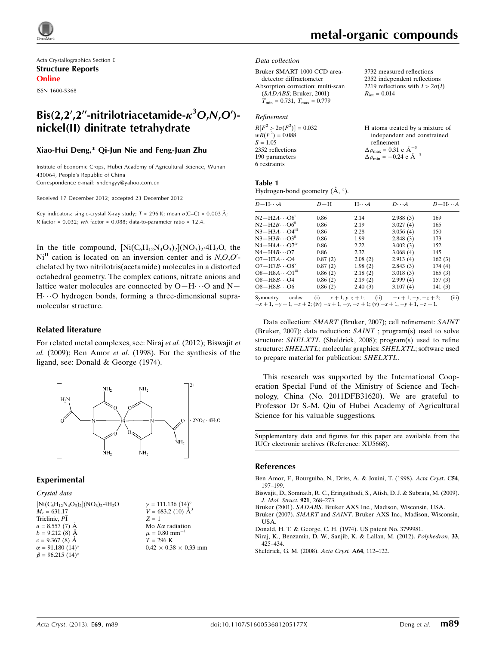

Acta Crystallographica Section E Structure Reports Online

ISSN 1600-5368

# Bis(2,2',2''-nitrilotriacetamide- $\kappa^3$ O,N,O')nickel(II) dinitrate tetrahydrate

### Xiao-Hui Deng,\* Qi-Jun Nie and Feng-Juan Zhu

Institute of Economic Crops, Hubei Academy of Agricultural Science, Wuhan 430064, People's Republic of China Correspondence e-mail: [xhdengyy@yahoo.com.cn](https://scripts.iucr.org/cgi-bin/cr.cgi?rm=pdfbb&cnor=xu5668&bbid=BB7)

Received 17 December 2012; accepted 23 December 2012

Key indicators: single-crystal X-ray study;  $T = 296$  K; mean  $\sigma$ (C–C) = 0.003 Å; R factor =  $0.032$ ; wR factor =  $0.088$ ; data-to-parameter ratio = 12.4.

In the title compound,  $[Ni(C_6H_{12}N_4O_3)_2](NO_3)_2.4H_2O$ , the  $Ni<sup>II</sup>$  cation is located on an inversion center and is  $N, O, O'$ chelated by two nitrilotris(acetamide) molecules in a distorted octahedral geometry. The complex cations, nitrate anions and lattice water molecules are connected by  $O-H \cdots O$  and  $N-$ H---O hydrogen bonds, forming a three-dimensional supramolecular structure.

### Related literature

For related metal complexes, see: Niraj et al. (2012); Biswajit et al. (2009); Ben Amor et al. (1998). For the synthesis of the ligand, see: Donald & George (1974).



### Experimental

### Crystal data

 $[Ni(C_6H_{12}N_4O_3)_2] (NO_3)_2.4H_2O$  $M_r = 631.17$ Triclinic,  $P\overline{1}$  $a = 8.557(7)$  Å  $b = 9.212(8)$  Å  $c = 9.367(8)$  Å  $\alpha = 91.180 \ (14)^{\circ}$  $\beta = 96.215$  (14)<sup>o</sup>

 $\gamma = 111.136 (14)$ °  $V = 683.2$  (10)  $\AA^3$  $Z = 1$ Mo  $K\alpha$  radiation  $\mu = 0.80$  mm<sup>-1</sup>  $T = 296 \text{ K}$  $0.42\,\times\,0.38\,\times\,0.33$  mm  $R_{\text{int}} = 0.014$ 

3732 measured reflections 2352 independent reflections 2219 reflections with  $I > 2\sigma(I)$ 

a mixture of

#### Data collection

Bruker SMART 1000 CCD areadetector diffractometer Absorption correction: multi-scan (SADABS; Bruker, 2001)  $T_{\text{min}} = 0.731, T_{\text{max}} = 0.779$ 

### Refinement

| $R[F^2 > 2\sigma(F^2)] = 0.032$ | H atoms treated by a mixture o                  |
|---------------------------------|-------------------------------------------------|
| $wR(F^2) = 0.088$               | independent and constrained                     |
| $S = 1.05$                      | refinement                                      |
| 2352 reflections                | $\Delta \rho_{\text{max}} = 0.31$ e $\AA^{-3}$  |
| 190 parameters                  | $\Delta \rho_{\text{min}} = -0.24$ e $\AA^{-3}$ |
| 6 restraints                    |                                                 |
|                                 |                                                 |

### Table 1

Hydrogen-bond geometry  $(\mathring{A}, \degree)$ .

| $D - H \cdots A$                   | $D-H$   | $H \cdots A$ | $D\cdots A$ | $D - H \cdots A$ |
|------------------------------------|---------|--------------|-------------|------------------|
| $N2-H2A\cdots S^1$                 | 0.86    | 2.14         | 2.988(3)    | 169              |
| $N2-H2B\cdots$ O6 <sup>ii</sup>    | 0.86    | 2.19         | 3.027(4)    | 165              |
| $N3 - H3A \cdots O4m$              | 0.86    | 2.28         | 3.056(4)    | 150              |
| $N3 - H3B \cdots O3$ <sup>ii</sup> | 0.86    | 1.99         | 2.848(3)    | 173              |
| $N4 - H4A \cdots O7$ <sup>iv</sup> | 0.86    | 2.22         | 3.002(3)    | 152              |
| $N4 - H4B \cdots Q7$               | 0.86    | 2.32         | 3.068(4)    | 145              |
| $O7 - H7A \cdots O4$               | 0.87(2) | 2.08(2)      | 2.913(4)    | 162(3)           |
| $O7 - H7B \cdots O8^v$             | 0.87(2) | 1.98(2)      | 2.843(3)    | 174(4)           |
| $O8 - H8A \cdots O1m$              | 0.86(2) | 2.18(2)      | 3.018(3)    | 165(3)           |
| $O8 - H8B \cdots O4$               | 0.86(2) | 2.19(2)      | 2.999(4)    | 157(3)           |
| $O8 - H8B \cdots O6$               | 0.86(2) | 2.40(3)      | 3.107(4)    | 141(3)           |

Symmetry codes: (i)  $x + 1, y, z + 1$ ; (ii)  $-x + 1, -y, -z + 2$ ; (iii)  $-x+1, -y+1, -z+2$ ; (iv)  $-x+1, -y, -z+1$ ; (v)  $-x+1, -y+1, -z+1$ .

Data collection: SMART (Bruker, 2007); cell refinement: SAINT (Bruker, 2007); data reduction: SAINT ; program(s) used to solve structure: SHELXTL (Sheldrick, 2008); program(s) used to refine structure: SHELXTL; molecular graphics: SHELXTL; software used to prepare material for publication: SHELXTL.

This research was supported by the International Cooperation Special Fund of the Ministry of Science and Technology, China (No. 2011DFB31620). We are grateful to Professor Dr S.-M. Qiu of Hubei Academy of Agricultural Science for his valuable suggestions.

Supplementary data and figures for this paper are available from the IUCr electronic archives (Reference: XU5668).

### References

[Ben Amor, F., Bourguiba, N., Driss, A. & Jouini, T. \(1998\).](https://scripts.iucr.org/cgi-bin/cr.cgi?rm=pdfbb&cnor=xu5668&bbid=BB1) Acta Cryst. C54, [197–199.](https://scripts.iucr.org/cgi-bin/cr.cgi?rm=pdfbb&cnor=xu5668&bbid=BB1)

[Biswajit, D., Somnath, R. C., Eringathodi, S., Atish, D. J. & Subrata, M. \(2009\).](https://scripts.iucr.org/cgi-bin/cr.cgi?rm=pdfbb&cnor=xu5668&bbid=BB2) [J. Mol. Struct.](https://scripts.iucr.org/cgi-bin/cr.cgi?rm=pdfbb&cnor=xu5668&bbid=BB2) 921, 268–273.

Bruker (2001). SADABS[. Bruker AXS Inc., Madison, Wisconsin, USA.](https://scripts.iucr.org/cgi-bin/cr.cgi?rm=pdfbb&cnor=xu5668&bbid=BB3)

Bruker (2007). SMART and SAINT[. Bruker AXS Inc., Madison, Wisconsin,](https://scripts.iucr.org/cgi-bin/cr.cgi?rm=pdfbb&cnor=xu5668&bbid=BB4) [USA.](https://scripts.iucr.org/cgi-bin/cr.cgi?rm=pdfbb&cnor=xu5668&bbid=BB4)

[Donald, H. T. & George, C. H. \(1974\). US patent No. 3799981.](https://scripts.iucr.org/cgi-bin/cr.cgi?rm=pdfbb&cnor=xu5668&bbid=BB5)

[Niraj, K., Benzamin, D. W., Sanjib, K. & Lallan, M. \(2012\).](https://scripts.iucr.org/cgi-bin/cr.cgi?rm=pdfbb&cnor=xu5668&bbid=BB6) Polyhedron, 33, [425–434.](https://scripts.iucr.org/cgi-bin/cr.cgi?rm=pdfbb&cnor=xu5668&bbid=BB6)

[Sheldrick, G. M. \(2008\).](https://scripts.iucr.org/cgi-bin/cr.cgi?rm=pdfbb&cnor=xu5668&bbid=BB7) Acta Cryst. A64, 112–122.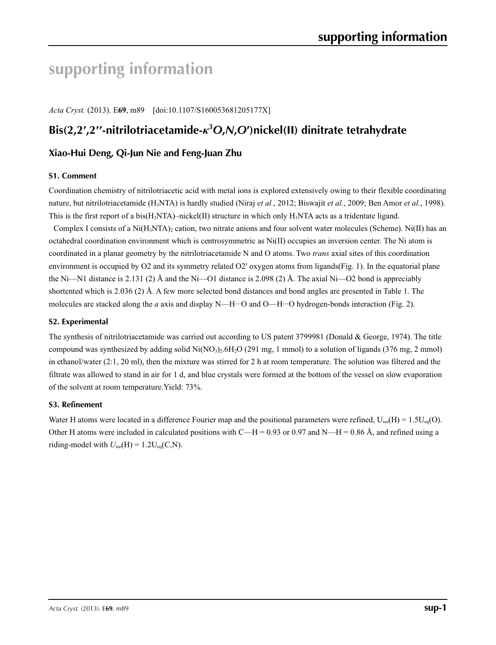# **supporting information**

*Acta Cryst.* (2013). E**69**, m89 [doi:10.1107/S160053681205177X]

# **Bis(2,2′,2′′-nitrilotriacetamide-***κ***<sup>3</sup>** *O***,***N***,***O***′)nickel(II) dinitrate tetrahydrate**

### **Xiao-Hui Deng, Qi-Jun Nie and Feng-Juan Zhu**

### **S1. Comment**

Coordination chemistry of nitrilotriacetic acid with metal ions is explored extensively owing to their flexible coordinating nature, but nitrilotriacetamide (H3NTA) is hardly studied (Niraj *et al.*, 2012; Biswajit *et al.*, 2009; Ben Amor *et al.*, 1998). This is the first report of a bis(H<sub>3</sub>NTA)–nickel(II) structure in which only H<sub>3</sub>NTA acts as a tridentate ligand.

Complex I consists of a Ni $(H_3NTA)$ <sub>2</sub> cation, two nitrate anions and four solvent water molecules (Scheme). Ni(II) has an octahedral coordination environment which is centrosymmetric as Ni(II) occupies an inversion center. The Ni atom is coordinated in a planar geometry by the nitrilotriacetamide N and O atoms. Two *trans* axial sites of this coordination environment is occupied by O2 and its symmetry related O2' oxygen atoms from ligands(Fig. 1). In the equatorial plane the Ni—N1 distance is 2.131 (2)  $\AA$  and the Ni—O1 distance is 2.098 (2)  $\AA$ . The axial Ni—O2 bond is appreciably shortented which is 2.036 (2) Å. A few more selected bond distances and bond angles are presented in Table 1. The molecules are stacked along the *a* axis and display N—H···O and O—H···O hydrogen-bonds interaction (Fig. 2).

### **S2. Experimental**

The synthesis of nitrilotriacetamide was carried out according to US patent 3799981 (Donald & George, 1974). The title compound was synthesized by adding solid  $Ni(NO_3)_2.6H_2O$  (291 mg, 1 mmol) to a solution of ligands (376 mg, 2 mmol) in ethanol/water (2:1, 20 ml), then the mixture was stirred for 2 h at room temperature. The solution was filtered and the filtrate was allowed to stand in air for 1 d, and blue crystals were formed at the bottom of the vessel on slow evaporation of the solvent at room temperature.Yield: 73%.

### **S3. Refinement**

Water H atoms were located in a difference Fourier map and the positional parameters were refined,  $U_{iso}(H) = 1.5U_{eq}(O)$ . Other H atoms were included in calculated positions with C—H = 0.93 or 0.97 and N—H = 0.86 Å, and refined using a riding-model with  $U_{iso}(H) = 1.2U_{eq}(C, N)$ .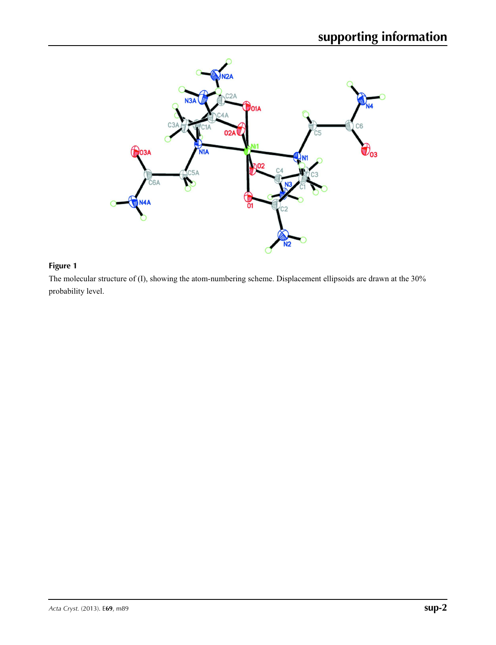

# **Figure 1**

The molecular structure of (I), showing the atom-numbering scheme. Displacement ellipsoids are drawn at the 30% probability level.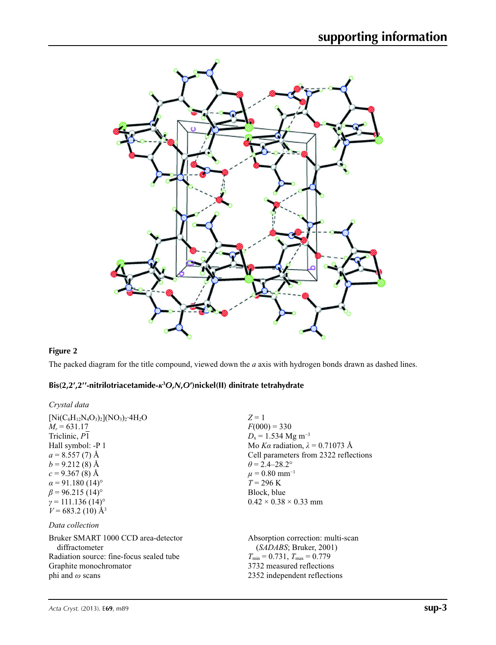

# **Figure 2**

The packed diagram for the title compound, viewed down the *a* axis with hydrogen bonds drawn as dashed lines.

### **Bis(2,2′,2′′-nitrilotriacetamide-***κ***<sup>3</sup>** *O***,***N***,***O***′)nickel(II) dinitrate tetrahydrate**

| Crystal data |  |
|--------------|--|
|--------------|--|

| $[Ni(C_6H_{12}N_4O_3)_2](NO_3)_2.4H_2O$  | $Z=1$                                   |
|------------------------------------------|-----------------------------------------|
| $M_r = 631.17$                           | $F(000) = 330$                          |
| Triclinic, P1                            | $D_x = 1.534$ Mg m <sup>-3</sup>        |
| Hall symbol: -P 1                        | Mo Ka radiation, $\lambda = 0.71073$ Å  |
| $a = 8.557(7)$ Å                         | Cell parameters from 2322 reflections   |
| $b = 9.212(8)$ Å                         | $\theta$ = 2.4–28.2°                    |
| $c = 9.367(8)$ Å                         | $\mu = 0.80$ mm <sup>-1</sup>           |
| $\alpha$ = 91.180 (14) <sup>o</sup>      | $T = 296 \text{ K}$                     |
| $\beta$ = 96.215 (14) <sup>o</sup>       | Block, blue                             |
| $\gamma = 111.136(14)$ °                 | $0.42 \times 0.38 \times 0.33$ mm       |
| $V = 683.2$ (10) Å <sup>3</sup>          |                                         |
| Data collection                          |                                         |
| Bruker SMART 1000 CCD area-detector      | Absorption correction: multi-scan       |
| diffractometer                           | (SADABS; Bruker, 2001)                  |
| Radiation source: fine-focus sealed tube | $T_{\min} = 0.731$ , $T_{\max} = 0.779$ |
| Graphite monochromator                   | 3732 measured reflections               |
| phi and $\omega$ scans                   | 2352 independent reflections            |
|                                          |                                         |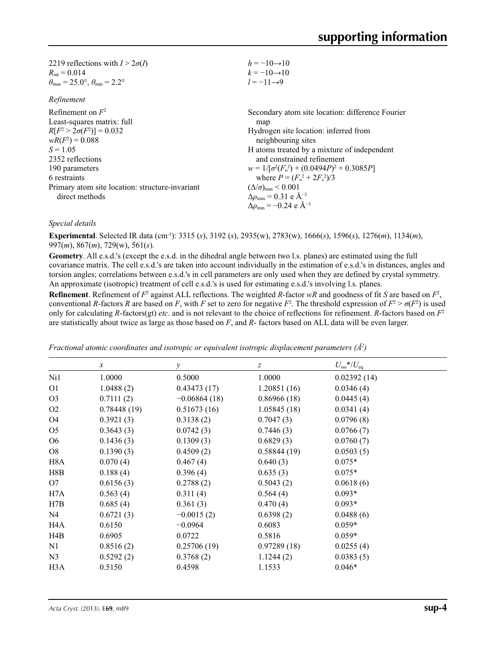| $h = -10 \rightarrow 10$                          |
|---------------------------------------------------|
| $k = -10 \rightarrow 10$                          |
| $l = -11 \rightarrow 9$                           |
|                                                   |
| Secondary atom site location: difference Fourier  |
| map                                               |
| Hydrogen site location: inferred from             |
| neighbouring sites                                |
| H atoms treated by a mixture of independent       |
| and constrained refinement                        |
| $w = 1/[\sigma^2(F_0^2) + (0.0494P)^2 + 0.3085P]$ |
| where $P = (F_0^2 + 2F_c^2)/3$                    |
| $(\Delta/\sigma)_{\text{max}}$ < 0.001            |
| $\Delta \rho_{\rm max} = 0.31$ e Å <sup>-3</sup>  |
|                                                   |

### *Special details*

**Experimental**. Selected IR data (cm-1): 3315 (*s*), 3192 (*s*), 2935(w), 2783(w), 1666(*s*), 1596(*s*), 1276(*m*), 1134(*m*), 997(*m*), 867(*m*), 729(w), 561(*s*).

**Geometry**. All e.s.d.'s (except the e.s.d. in the dihedral angle between two l.s. planes) are estimated using the full covariance matrix. The cell e.s.d.'s are taken into account individually in the estimation of e.s.d.'s in distances, angles and torsion angles; correlations between e.s.d.'s in cell parameters are only used when they are defined by crystal symmetry. An approximate (isotropic) treatment of cell e.s.d.'s is used for estimating e.s.d.'s involving l.s. planes.

Δ*ρ*min = −0.24 e Å−3

**Refinement**. Refinement of  $F^2$  against ALL reflections. The weighted R-factor wR and goodness of fit *S* are based on  $F^2$ , conventional *R*-factors *R* are based on *F*, with *F* set to zero for negative  $F^2$ . The threshold expression of  $F^2 > \sigma(F^2)$  is used only for calculating *R*-factors(gt) *etc*. and is not relevant to the choice of reflections for refinement. *R*-factors based on *F*<sup>2</sup> are statistically about twice as large as those based on *F*, and *R*- factors based on ALL data will be even larger.

|                  | $\boldsymbol{x}$ | $\mathcal{Y}$  | $\boldsymbol{Z}$ | $U_{\rm iso}$ */ $U_{\rm eq}$ |
|------------------|------------------|----------------|------------------|-------------------------------|
| Ni1              | 1.0000           | 0.5000         | 1.0000           | 0.02392(14)                   |
| O <sub>1</sub>   | 1.0488(2)        | 0.43473(17)    | 1.20851(16)      | 0.0346(4)                     |
| O <sub>3</sub>   | 0.7111(2)        | $-0.06864(18)$ | 0.86966(18)      | 0.0445(4)                     |
| O <sub>2</sub>   | 0.78448(19)      | 0.51673(16)    | 1.05845(18)      | 0.0341(4)                     |
| O4               | 0.3921(3)        | 0.3138(2)      | 0.7047(3)        | 0.0796(8)                     |
| O <sub>5</sub>   | 0.3643(3)        | 0.0742(3)      | 0.7446(3)        | 0.0766(7)                     |
| O <sub>6</sub>   | 0.1436(3)        | 0.1309(3)      | 0.6829(3)        | 0.0760(7)                     |
| O <sub>8</sub>   | 0.1390(3)        | 0.4509(2)      | 0.58844(19)      | 0.0503(5)                     |
| H <sub>8</sub> A | 0.070(4)         | 0.467(4)       | 0.640(3)         | $0.075*$                      |
| H8B              | 0.188(4)         | 0.396(4)       | 0.635(3)         | $0.075*$                      |
| O7               | 0.6156(3)        | 0.2788(2)      | 0.5043(2)        | 0.0618(6)                     |
| H7A              | 0.563(4)         | 0.311(4)       | 0.564(4)         | $0.093*$                      |
| H7B              | 0.685(4)         | 0.361(3)       | 0.470(4)         | $0.093*$                      |
| N <sub>4</sub>   | 0.6721(3)        | $-0.0015(2)$   | 0.6398(2)        | 0.0488(6)                     |
| H <sub>4</sub> A | 0.6150           | $-0.0964$      | 0.6083           | $0.059*$                      |
| H <sub>4</sub> B | 0.6905           | 0.0722         | 0.5816           | $0.059*$                      |
| N1               | 0.8516(2)        | 0.25706(19)    | 0.97289(18)      | 0.0255(4)                     |
| N <sub>3</sub>   | 0.5292(2)        | 0.3768(2)      | 1.1244(2)        | 0.0383(5)                     |
| H <sub>3</sub> A | 0.5150           | 0.4598         | 1.1533           | $0.046*$                      |

*Fractional atomic coordinates and isotropic or equivalent isotropic displacement parameters (Å<sup>2</sup>)*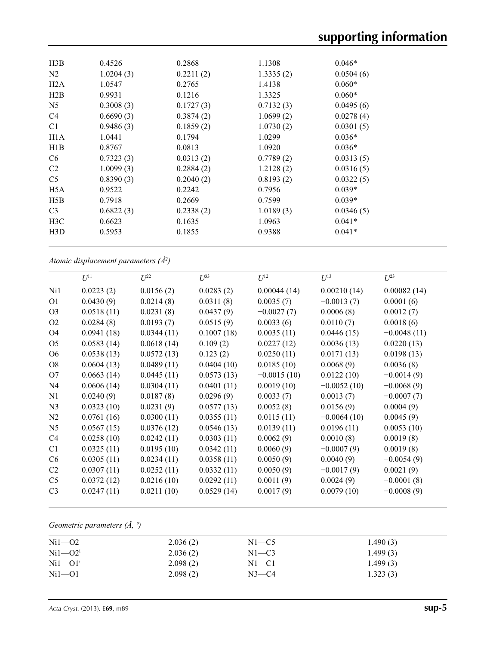| H3B            | 0.4526    | 0.2868    | 1.1308    | $0.046*$  |  |
|----------------|-----------|-----------|-----------|-----------|--|
| N <sub>2</sub> | 1.0204(3) | 0.2211(2) | 1.3335(2) | 0.0504(6) |  |
| H2A            | 1.0547    | 0.2765    | 1.4138    | $0.060*$  |  |
| H2B            | 0.9931    | 0.1216    | 1.3325    | $0.060*$  |  |
| N <sub>5</sub> | 0.3008(3) | 0.1727(3) | 0.7132(3) | 0.0495(6) |  |
| C <sub>4</sub> | 0.6690(3) | 0.3874(2) | 1.0699(2) | 0.0278(4) |  |
| C <sub>1</sub> | 0.9486(3) | 0.1859(2) | 1.0730(2) | 0.0301(5) |  |
| H1A            | 1.0441    | 0.1794    | 1.0299    | $0.036*$  |  |
| H1B            | 0.8767    | 0.0813    | 1.0920    | $0.036*$  |  |
| C <sub>6</sub> | 0.7323(3) | 0.0313(2) | 0.7789(2) | 0.0313(5) |  |
| C <sub>2</sub> | 1.0099(3) | 0.2884(2) | 1.2128(2) | 0.0316(5) |  |
| C <sub>5</sub> | 0.8390(3) | 0.2040(2) | 0.8193(2) | 0.0322(5) |  |
| H5A            | 0.9522    | 0.2242    | 0.7956    | $0.039*$  |  |
| H5B            | 0.7918    | 0.2669    | 0.7599    | $0.039*$  |  |
| C <sub>3</sub> | 0.6822(3) | 0.2338(2) | 1.0189(3) | 0.0346(5) |  |
| H3C            | 0.6623    | 0.1635    | 1.0963    | $0.041*$  |  |
| H3D            | 0.5953    | 0.1855    | 0.9388    | $0.041*$  |  |
|                |           |           |           |           |  |

*Atomic displacement parameters (Å2 )*

|                | $U^{11}$   | $U^{22}$   | $\mathcal{L}^{\beta 3}$ | $U^{12}$      | $U^{13}$      | $U^{23}$      |
|----------------|------------|------------|-------------------------|---------------|---------------|---------------|
| Ni1            | 0.0223(2)  | 0.0156(2)  | 0.0283(2)               | 0.00044(14)   | 0.00210(14)   | 0.00082(14)   |
| O <sub>1</sub> | 0.0430(9)  | 0.0214(8)  | 0.0311(8)               | 0.0035(7)     | $-0.0013(7)$  | 0.0001(6)     |
| O <sub>3</sub> | 0.0518(11) | 0.0231(8)  | 0.0437(9)               | $-0.0027(7)$  | 0.0006(8)     | 0.0012(7)     |
| O2             | 0.0284(8)  | 0.0193(7)  | 0.0515(9)               | 0.0033(6)     | 0.0110(7)     | 0.0018(6)     |
| O <sub>4</sub> | 0.0941(18) | 0.0344(11) | 0.1007(18)              | 0.0035(11)    | 0.0446(15)    | $-0.0048(11)$ |
| O <sub>5</sub> | 0.0583(14) | 0.0618(14) | 0.109(2)                | 0.0227(12)    | 0.0036(13)    | 0.0220(13)    |
| O <sub>6</sub> | 0.0538(13) | 0.0572(13) | 0.123(2)                | 0.0250(11)    | 0.0171(13)    | 0.0198(13)    |
| O <sub>8</sub> | 0.0604(13) | 0.0489(11) | 0.0404(10)              | 0.0185(10)    | 0.0068(9)     | 0.0036(8)     |
| O7             | 0.0663(14) | 0.0445(11) | 0.0573(13)              | $-0.0015(10)$ | 0.0122(10)    | $-0.0014(9)$  |
| N <sub>4</sub> | 0.0606(14) | 0.0304(11) | 0.0401(11)              | 0.0019(10)    | $-0.0052(10)$ | $-0.0068(9)$  |
| N1             | 0.0240(9)  | 0.0187(8)  | 0.0296(9)               | 0.0033(7)     | 0.0013(7)     | $-0.0007(7)$  |
| N <sub>3</sub> | 0.0323(10) | 0.0231(9)  | 0.0577(13)              | 0.0052(8)     | 0.0156(9)     | 0.0004(9)     |
| N2             | 0.0761(16) | 0.0300(11) | 0.0355(11)              | 0.0115(11)    | $-0.0064(10)$ | 0.0045(9)     |
| N <sub>5</sub> | 0.0567(15) | 0.0376(12) | 0.0546(13)              | 0.0139(11)    | 0.0196(11)    | 0.0053(10)    |
| C4             | 0.0258(10) | 0.0242(11) | 0.0303(11)              | 0.0062(9)     | 0.0010(8)     | 0.0019(8)     |
| C <sub>1</sub> | 0.0325(11) | 0.0195(10) | 0.0342(11)              | 0.0060(9)     | $-0.0007(9)$  | 0.0019(8)     |
| C <sub>6</sub> | 0.0305(11) | 0.0234(11) | 0.0358(11)              | 0.0050(9)     | 0.0040(9)     | $-0.0054(9)$  |
| C <sub>2</sub> | 0.0307(11) | 0.0252(11) | 0.0332(11)              | 0.0050(9)     | $-0.0017(9)$  | 0.0021(9)     |
| C <sub>5</sub> | 0.0372(12) | 0.0216(10) | 0.0292(11)              | 0.0011(9)     | 0.0024(9)     | $-0.0001(8)$  |
| C <sub>3</sub> | 0.0247(11) | 0.0211(10) | 0.0529(14)              | 0.0017(9)     | 0.0079(10)    | $-0.0008(9)$  |

# *Geometric parameters (Å, º)*

| $Ni1-02$    | 2.036(2) | $N1 - C5$ | 1.490(3) |
|-------------|----------|-----------|----------|
| $Ni1 - O2i$ | 2.036(2) | $N1-C3$   | 1.499(3) |
| $Ni1 - O1i$ | 2.098(2) | $N1 - C1$ | 1.499(3) |
| $Ni1-01$    | 2.098(2) | $N3$ —C4  | 1.323(3) |
|             |          |           |          |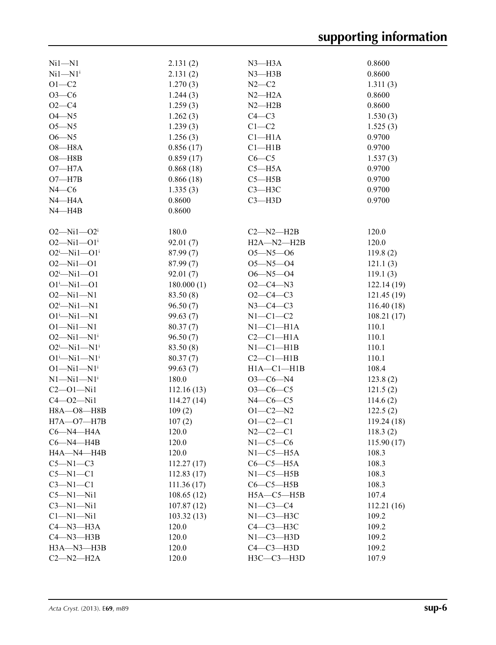| $Ni1 - N1$                     | 2.131(2)   | $N3$ —H $3A$     | 0.8600                  |
|--------------------------------|------------|------------------|-------------------------|
| $Ni1 - N1i$                    | 2.131(2)   | $N3$ —H $3B$     | 0.8600                  |
| $O1 - C2$                      | 1.270(3)   | $N2-C2$          | 1.311(3)                |
| $O3-C6$                        | 1.244(3)   | $N2-H2A$         | 0.8600                  |
| $O2 - C4$                      | 1.259(3)   | $N2 - H2B$       | 0.8600                  |
| $O4 - N5$                      | 1.262(3)   | $C4 - C3$        | 1.530(3)                |
| $O5 - N5$                      | 1.239(3)   | $C1-C2$          | 1.525(3)                |
| $O6 - N5$                      | 1.256(3)   | $Cl-H1A$         | 0.9700                  |
| $O8 - H8A$                     | 0.856(17)  | $Cl$ -H1B        | 0.9700                  |
| $O8 - H8B$                     | 0.859(17)  | $C6-C5$          | 1.537(3)                |
| $O7 - H7A$                     | 0.868(18)  | $C5 - H5A$       | 0.9700                  |
| $O7 - H7B$                     | 0.866(18)  | $C5 - H5B$       | 0.9700                  |
| $N4 - C6$                      | 1.335(3)   | $C3 - H3C$       | 0.9700                  |
| $N4 - H4A$                     | 0.8600     | $C3 - H3D$       | 0.9700                  |
| $N4 - H4B$                     |            |                  |                         |
|                                | 0.8600     |                  |                         |
| $O2 - Ni1 - O2i$               | 180.0      | $C2 - N2 - H2B$  | 120.0                   |
| $O2 - Ni1 - O1$ <sup>i</sup>   | 92.01(7)   | $H2A - N2 - H2B$ | 120.0                   |
| $O2^{i}$ -Ni1- $O1^{i}$        | 87.99(7)   | $O5 - N5 - O6$   | 119.8(2)                |
| $O2 - Ni1 - O1$                | 87.99(7)   | $O5 - N5 - O4$   | 121.1(3)                |
| $O2^i$ -Ni1- $O1$              | 92.01(7)   | $O6 - N5 - O4$   | 119.1(3)                |
| $O1^{i}$ -Ni1- $O1$            | 180.000(1) | $O2 - C4 - N3$   | 122.14 (19)             |
| $O2 - Ni1 - N1$                | 83.50 (8)  | $O2 - C4 - C3$   | 121.45 (19)             |
| $O2^i$ -Ni1-N1                 | 96.50(7)   | $N3-C4-C3$       | 116.40(18)              |
| $O1^{i}$ -Ni $1$ -N1           | 99.63(7)   | $N1-C1-C2$       | 108.21(17)              |
| $O1 - Ni1 - N1$                | 80.37(7)   | $N1-C1-H1A$      | 110.1                   |
| $O2 - Ni1 - N1$ <sup>i</sup>   | 96.50(7)   | $C2-C1-H1A$      | 110.1                   |
| $O2^{i}$ -Ni1--N1 <sup>i</sup> | 83.50 (8)  | $N1-C1-H1B$      | 110.1                   |
| $O1^{i}$ -Ni $1$ -N $1^{i}$    | 80.37(7)   | $C2-C1-H1B$      | 110.1                   |
| $O1 - Ni1 - N1$ <sup>i</sup>   | 99.63 (7)  | $H1A - C1 - H1B$ | 108.4                   |
| $N1 - N11 - N1$ <sup>i</sup>   | 180.0      | $O3-C6-N4$       | 123.8(2)                |
| $C2 - 01 - Ni1$                | 112.16(13) | $O3-C6-C5$       |                         |
| $C4 - O2 - N11$                | 114.27(14) | $N4-C6-C5$       | 121.5(2)                |
|                                |            | $O1 - C2 - N2$   | 114.6(2)                |
| H8A-O8-H8B<br>$H7A - O7 - H7B$ | 109(2)     | $O1 - C2 - C1$   | 122.5(2)<br>119.24 (18) |
|                                | 107(2)     |                  |                         |
| $C6 - N4 - H4A$                | 120.0      | $N2 - C2 - C1$   | 118.3(2)                |
| $C6 - N4 - H4B$                | 120.0      | $N1-C5-C6$       | 115.90(17)              |
| H4A-N4-H4B                     | 120.0      | $N1-C5-H5A$      | 108.3                   |
| $C5 - N1 - C3$                 | 112.27(17) | $C6-C5-H5A$      | 108.3                   |
| $C5-M1-C1$                     | 112.83(17) | $N1-C5-H5B$      | 108.3                   |
| $C3-M1-C1$                     | 111.36(17) | $C6-C5-H5B$      | 108.3                   |
| $C5 - N1 - N11$                | 108.65(12) | $H5A - C5 - H5B$ | 107.4                   |
| $C3-M1-Mi1$                    | 107.87(12) | $N1-C3-C4$       | 112.21(16)              |
| $Cl-M1-Ni1$                    | 103.32(13) | $N1-C3-H3C$      | 109.2                   |
| $C4 - N3 - H3A$                | 120.0      | С4-С3-Н3С        | 109.2                   |
| $C4 - N3 - H3B$                | 120.0      | $N1-C3-H3D$      | 109.2                   |
| $H3A - N3 - H3B$               | 120.0      | $C4-C3-H3D$      | 109.2                   |
| $C2 - N2 - H2A$                | 120.0      | $H3C-C3-H3D$     | 107.9                   |